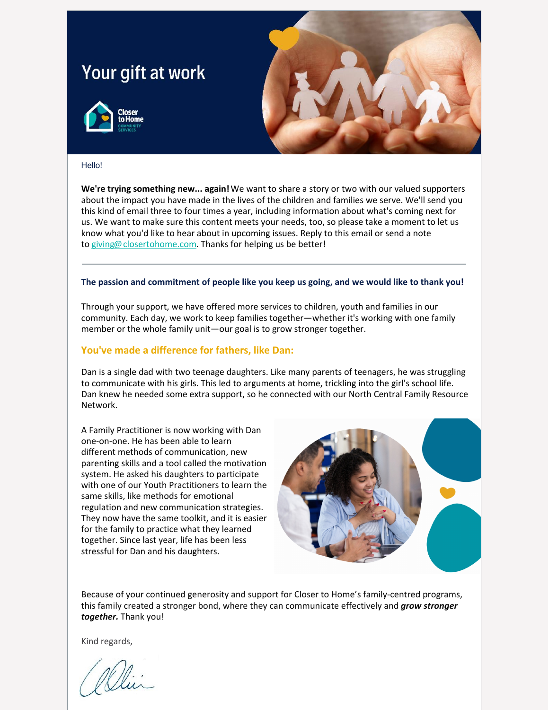## Your gift at work





## Hello!

**We're trying something new... again!**We want to share a story or two with our valued supporters about the impact you have made in the lives of the children and families we serve. We'll send you this kind of email three to four times a year, including information about what's coming next for us. We want to make sure this content meets your needs, too, so please take a moment to let us know what you'd like to hear about in upcoming issues. Reply to this email or send a note to [giving@closertohome.com](mailto:giving@closertohome.com). Thanks for helping us be better!

## **The passion and commitment of people like you keep us going, and we would like to thank you!**

Through your support, we have offered more services to children, youth and families in our community. Each day, we work to keep families together—whether it's working with one family member or the whole family unit—our goal is to grow stronger together.

## **You've made a difference for fathers, like Dan:**

Dan is a single dad with two teenage daughters. Like many parents of teenagers, he was struggling to communicate with his girls. This led to arguments at home, trickling into the girl's school life. Dan knew he needed some extra support, so he connected with our North Central Family Resource Network.

A Family Practitioner is now working with Dan one-on-one. He has been able to learn different methods of communication, new parenting skills and a tool called the motivation system. He asked his daughters to participate with one of our Youth Practitioners to learn the same skills, like methods for emotional regulation and new communication strategies. They now have the same toolkit, and it is easier for the family to practice what they learned together. Since last year, life has been less stressful for Dan and his daughters.



Because of your continued generosity and support for Closer to Home's family-centred programs, this family created a stronger bond, where they can communicate effectively and *grow stronger together.* Thank you!

Kind regards,